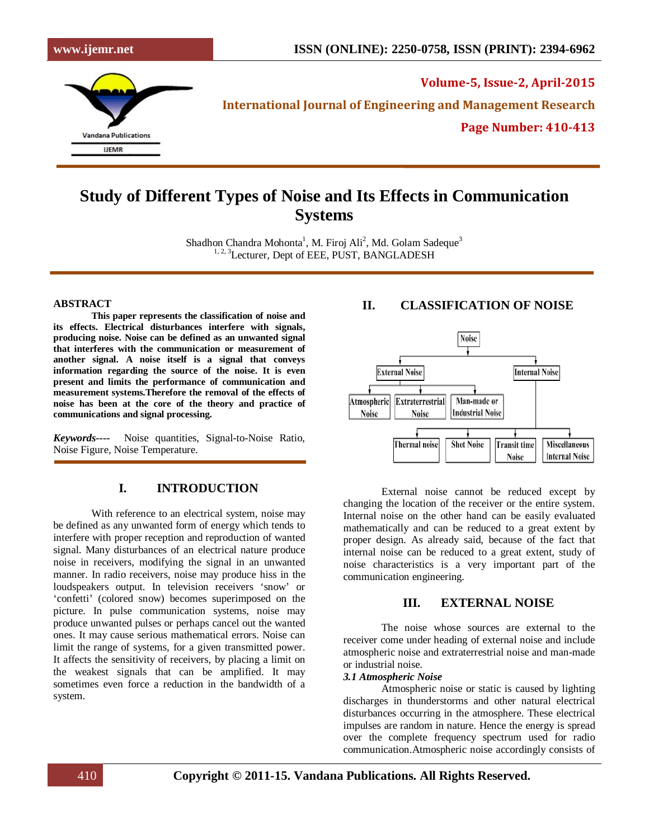**Volume-5, Issue-2, April-2015**

**International Journal of Engineering and Management Research**

**Page Number: 410-413**

# **Study of Different Types of Noise and Its Effects in Communication Systems**

Shadhon Chandra Mohonta<sup>1</sup>, M. Firoj Ali<sup>2</sup>, Md. Golam Sadeque<sup>3</sup> <sup>1, 2, 3</sup>Lecturer, Dept of EEE, PUST, BANGLADESH

#### **ABSTRACT**

**This paper represents the classification of noise and its effects. Electrical disturbances interfere with signals, producing noise. Noise can be defined as an unwanted signal that interferes with the communication or measurement of another signal. A noise itself is a signal that conveys information regarding the source of the noise. It is even present and limits the performance of communication and measurement systems.Therefore the removal of the effects of noise has been at the core of the theory and practice of communications and signal processing.**

*Keywords----*Noise quantities, Signal-to-Noise Ratio, Noise Figure, Noise Temperature.

# **I. INTRODUCTION**

With reference to an electrical system, noise may be defined as any unwanted form of energy which tends to interfere with proper reception and reproduction of wanted signal. Many disturbances of an electrical nature produce noise in receivers, modifying the signal in an unwanted manner. In radio receivers, noise may produce hiss in the loudspeakers output. In television receivers 'snow' or 'confetti' (colored snow) becomes superimposed on the picture. In pulse communication systems, noise may produce unwanted pulses or perhaps cancel out the wanted ones. It may cause serious mathematical errors. Noise can limit the range of systems, for a given transmitted power. It affects the sensitivity of receivers, by placing a limit on the weakest signals that can be amplified. It may sometimes even force a reduction in the bandwidth of a system.

# **II. CLASSIFICATION OF NOISE**



External noise cannot be reduced except by changing the location of the receiver or the entire system. Internal noise on the other hand can be easily evaluated mathematically and can be reduced to a great extent by proper design. As already said, because of the fact that internal noise can be reduced to a great extent, study of noise characteristics is a very important part of the communication engineering.

## **III. EXTERNAL NOISE**

The noise whose sources are external to the receiver come under heading of external noise and include atmospheric noise and extraterrestrial noise and man-made or industrial noise.

#### *3.1 Atmospheric Noise*

Atmospheric noise or static is caused by lighting discharges in thunderstorms and other natural electrical disturbances occurring in the atmosphere. These electrical impulses are random in nature. Hence the energy is spread over the complete frequency spectrum used for radio communication.Atmospheric noise accordingly consists of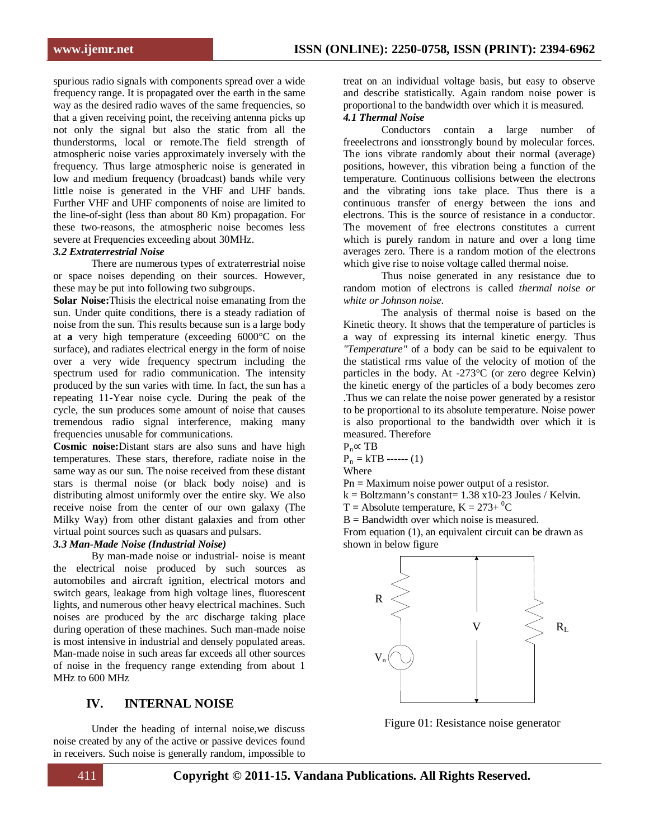spurious radio signals with components spread over a wide frequency range. It is propagated over the earth in the same way as the desired radio waves of the same frequencies, so that a given receiving point, the receiving antenna picks up not only the signal but also the static from all the thunderstorms, local or remote.The field strength of atmospheric noise varies approximately inversely with the frequency. Thus large atmospheric noise is generated in low and medium frequency (broadcast) bands while very little noise is generated in the VHF and UHF bands. Further VHF and UHF components of noise are limited to the line-of-sight (less than about 80 Km) propagation. For these two-reasons, the atmospheric noise becomes less severe at Frequencies exceeding about 30MHz.

#### *3.2 Extraterrestrial Noise*

There are numerous types of extraterrestrial noise or space noises depending on their sources. However, these may be put into following two subgroups.

**Solar Noise:**Thisis the electrical noise emanating from the sun. Under quite conditions, there is a steady radiation of noise from the sun. This results because sun is a large body at **a** very high temperature (exceeding 6000°C on the surface), and radiates electrical energy in the form of noise over a very wide frequency spectrum including the spectrum used for radio communication. The intensity produced by the sun varies with time. In fact, the sun has a repeating 11-Year noise cycle. During the peak of the cycle, the sun produces some amount of noise that causes tremendous radio signal interference, making many frequencies unusable for communications.

**Cosmic noise:**Distant stars are also suns and have high temperatures. These stars, therefore, radiate noise in the same way as our sun. The noise received from these distant stars is thermal noise (or black body noise) and is distributing almost uniformly over the entire sky. We also receive noise from the center of our own galaxy (The Milky Way) from other distant galaxies and from other virtual point sources such as quasars and pulsars.

### *3.3 Man-Made Noise (Industrial Noise)*

By man-made noise or industrial- noise is meant the electrical noise produced by such sources as automobiles and aircraft ignition, electrical motors and switch gears, leakage from high voltage lines, fluorescent lights, and numerous other heavy electrical machines. Such noises are produced by the arc discharge taking place during operation of these machines. Such man-made noise is most intensive in industrial and densely populated areas. Man-made noise in such areas far exceeds all other sources of noise in the frequency range extending from about 1 MHz to 600 MHz

## **IV. INTERNAL NOISE**

Under the heading of internal noise,we discuss noise created by any of the active or passive devices found in receivers. Such noise is generally random, impossible to treat on an individual voltage basis, but easy to observe and describe statistically. Again random noise power is proportional to the bandwidth over which it is measured.

## *4.1 Thermal Noise*

Conductors contain a large number of freeelectrons and ionsstrongly bound by molecular forces. The ions vibrate randomly about their normal (average) positions, however, this vibration being a function of the temperature. Continuous collisions between the electrons and the vibrating ions take place. Thus there is a continuous transfer of energy between the ions and electrons. This is the source of resistance in a conductor. The movement of free electrons constitutes a current which is purely random in nature and over a long time averages zero. There is a random motion of the electrons which give rise to noise voltage called thermal noise.

Thus noise generated in any resistance due to random motion of electrons is called *thermal noise or white or Johnson noise.*

The analysis of thermal noise is based on the Kinetic theory. It shows that the temperature of particles is a way of expressing its internal kinetic energy. Thus *"Temperature"* of a body can be said to be equivalent to the statistical rms value of the velocity of motion of the particles in the body. At -273°C (or zero degree Kelvin) the kinetic energy of the particles of a body becomes zero .Thus we can relate the noise power generated by a resistor to be proportional to its absolute temperature. Noise power is also proportional to the bandwidth over which it is measured. Therefore



 $P_n = kTB$  ------ (1)

**Where** 

- Pn **=** Maximum noise power output of a resistor.
- $k = Boltzmann's constant = 1.38 \times 10-23$  Joules / Kelvin.
- $T =$  Absolute temperature,  $K = 273 + {}^{0}C$

 $B =$  Bandwidth over which noise is measured.

From equation (1), an equivalent circuit can be drawn as shown in below figure



Figure 01: Resistance noise generator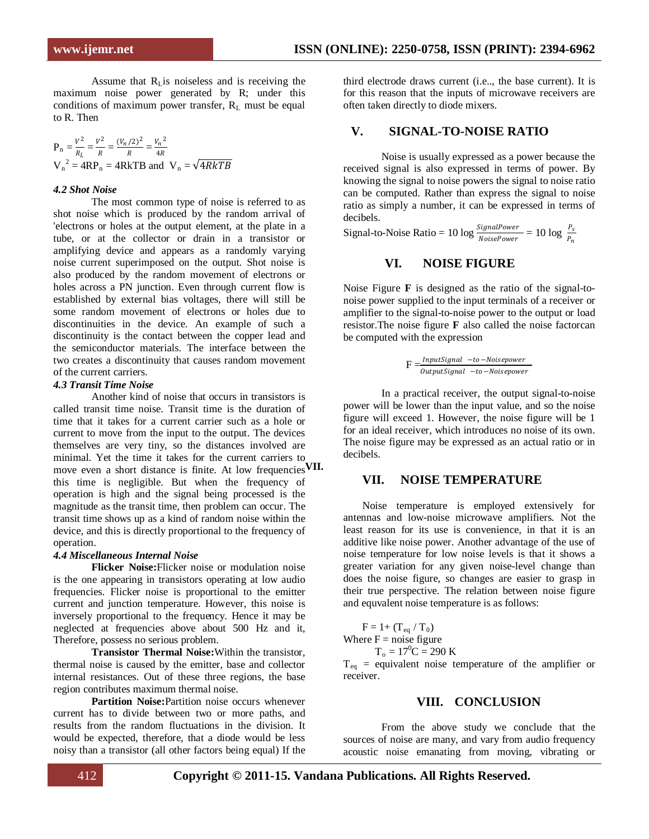Assume that  $R<sub>L</sub>$  is noiseless and is receiving the maximum noise power generated by R; under this conditions of maximum power transfer,  $R_L$  must be equal to R. Then

 $P_n = \frac{V^2}{R_L} = \frac{V^2}{R} = \frac{(V_n/2)^2}{R} = \frac{V_n^2}{4R}$  $V_n^2 = 4RP_n = 4RkTB$  and  $V_n = \sqrt{4RkTB}$ 

#### *4.2 Shot Noise*

The most common type of noise is referred to as shot noise which is produced by the random arrival of 'electrons or holes at the output element, at the plate in a tube, or at the collector or drain in a transistor or amplifying device and appears as a randomly varying noise current superimposed on the output. Shot noise is also produced by the random movement of electrons or holes across a PN junction. Even through current flow is established by external bias voltages, there will still be some random movement of electrons or holes due to discontinuities in the device. An example of such a discontinuity is the contact between the copper lead and the semiconductor materials. The interface between the two creates a discontinuity that causes random movement of the current carriers.

#### *4.3 Transit Time Noise*

Another kind of noise that occurs in transistors is called transit time noise. Transit time is the duration of time that it takes for a current carrier such as a hole or current to move from the input to the output. The devices themselves are very tiny, so the distances involved are minimal. Yet the time it takes for the current carriers to move even a short distance is finite. At low frequencies VII. this time is negligible. But when the frequency of operation is high and the signal being processed is the magnitude as the transit time, then problem can occur. The transit time shows up as a kind of random noise within the device, and this is directly proportional to the frequency of operation.

#### *4.4 Miscellaneous Internal Noise*

**Flicker Noise:**Flicker noise or modulation noise is the one appearing in transistors operating at low audio frequencies. Flicker noise is proportional to the emitter current and junction temperature. However, this noise is inversely proportional to the frequency. Hence it may be neglected at frequencies above about 500 Hz and it, Therefore, possess no serious problem.

**Transistor Thermal Noise:**Within the transistor, thermal noise is caused by the emitter, base and collector internal resistances. Out of these three regions, the base region contributes maximum thermal noise.

**Partition Noise:**Partition noise occurs whenever current has to divide between two or more paths, and results from the random fluctuations in the division. It would be expected, therefore, that a diode would be less noisy than a transistor (all other factors being equal) If the third electrode draws current (i.e.., the base current). It is for this reason that the inputs of microwave receivers are often taken directly to diode mixers.

## **V. SIGNAL-TO-NOISE RATIO**

Noise is usually expressed as a power because the received signal is also expressed in terms of power. By knowing the signal to noise powers the signal to noise ratio can be computed. Rather than express the signal to noise ratio as simply a number, it can be expressed in terms of decibels.

Signal-to-Noise Ratio = 10 log  $\frac{SignalPower}{NoisePower}$  = 10 log  $\frac{P_s}{P_n}$ 

### **VI. NOISE FIGURE**

Noise Figure **F** is designed as the ratio of the signal-tonoise power supplied to the input terminals of a receiver or amplifier to the signal-to-noise power to the output or load resistor.The noise figure **F** also called the noise factorcan be computed with the expression

$$
F=\frac{InputSignal - to - Noise power}{Output Signal - to - Noise power}
$$

In a practical receiver, the output signal-to-noise power will be lower than the input value, and so the noise figure will exceed 1. However, the noise figure will be 1 for an ideal receiver, which introduces no noise of its own. The noise figure may be expressed as an actual ratio or in decibels.

### **VII. NOISE TEMPERATURE**

Noise temperature is employed extensively for antennas and low-noise microwave amplifiers. Not the least reason for its use is convenience, in that it is an additive like noise power. Another advantage of the use of noise temperature for low noise levels is that it shows a greater variation for any given noise-level change than does the noise figure, so changes are easier to grasp in their true perspective. The relation between noise figure and equvalent noise temperature is as follows:

 $F = 1 + (T_{eq} / T_0)$ Where  $F = noise$  figure

 $T_0 = 17^0C = 290 K$ 

 $T_{eq}$  = equivalent noise temperature of the amplifier or receiver.

#### **VIII. CONCLUSION**

From the above study we conclude that the sources of noise are many, and vary from audio frequency acoustic noise emanating from moving, vibrating or